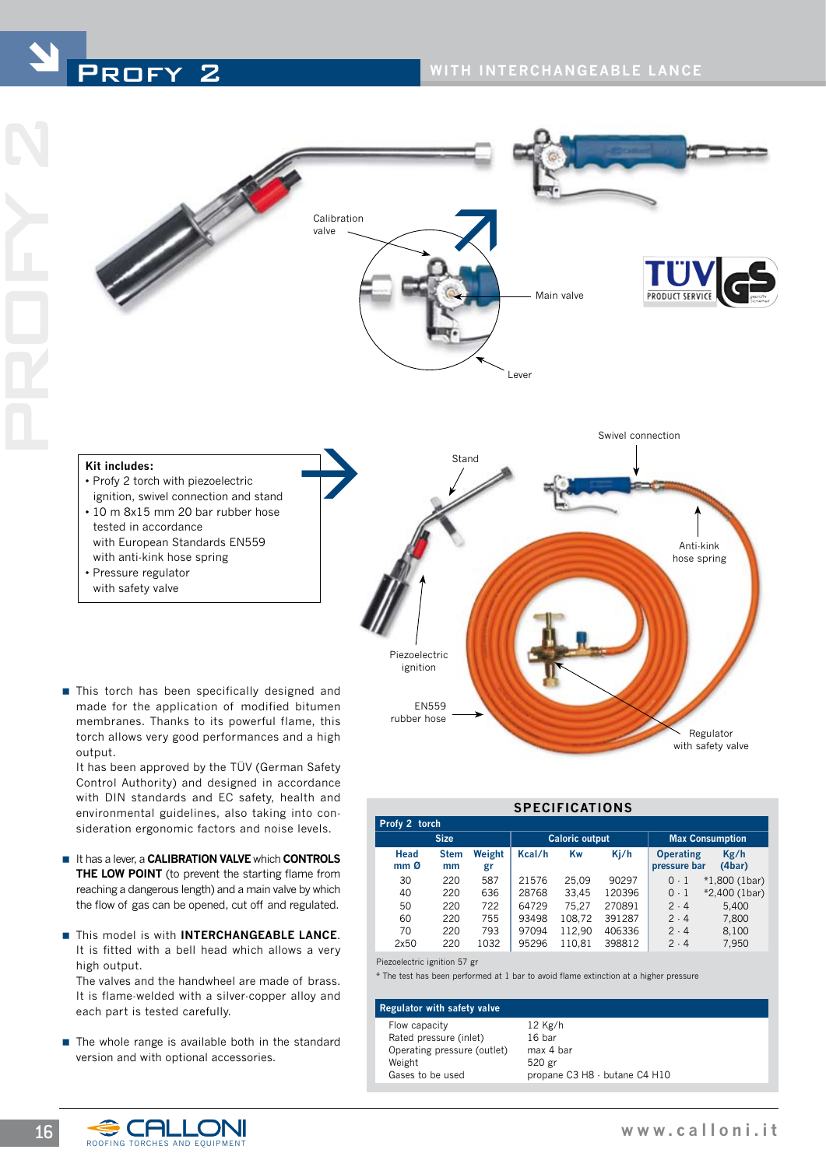





## Anti-kink hose spring Regulator Piezoelectric ignition ■ This torch has been specifically designed and made for the application of modified bitumen membranes. Thanks to its powerful flame, this **Kit includes:** • Profy 2 torch with piezoelectric ignition, swivel connection and stand • 10 m 8x15 mm 20 bar rubber hose tested in accordance with European Standards EN559 with anti-kink hose spring • Pressure regulator with safety valve ‡ EN559 rubber hose

with safety valve

torch allows very good performances and a high output. It has been approved by the TÜV (German Safety Control Authority) and designed in accordance

with DIN standards and EC safety, health and environmental guidelines, also taking into consideration ergonomic factors and noise levels.

- **E** It has a lever, a **CALIBRATION VALVE** which **CONTROLS THE LOW POINT** (to prevent the starting flame from reaching a dangerous length) and a main valve by which the flow of gas can be opened, cut off and regulated.
- **F** This model is with **INTERCHANGEABLE LANCE**. It is fitted with a bell head which allows a very high output.

 The valves and the handwheel are made of brass. It is flame-welded with a silver-copper alloy and each part is tested carefully.

 $\blacksquare$  The whole range is available both in the standard version and with optional accessories.

| SPECIFICATIONS          |                   |              |                       |        |        |                                  |                 |  |  |
|-------------------------|-------------------|--------------|-----------------------|--------|--------|----------------------------------|-----------------|--|--|
| Profy 2 torch           |                   |              |                       |        |        |                                  |                 |  |  |
| <b>Size</b>             |                   |              | <b>Caloric output</b> |        |        | <b>Max Consumption</b>           |                 |  |  |
| Head<br>mm <sub>0</sub> | <b>Stem</b><br>mm | Weight<br>gr | Kcal/h                | Kw     | Kj/h   | <b>Operating</b><br>pressure bar | Kg/h<br>(4bar)  |  |  |
| 30                      | 220               | 587          | 21576                 | 25.09  | 90297  | $0-1$                            | $*1,800$ (1bar) |  |  |
| 40                      | 220               | 636          | 28768                 | 33.45  | 120396 | $0-1$                            | $*2,400$ (1bar) |  |  |
| 50                      | 220               | 722          | 64729                 | 75.27  | 270891 | $2 \cdot 4$                      | 5.400           |  |  |
| 60                      | 220               | 755          | 93498                 | 108,72 | 391287 | 2.4                              | 7,800           |  |  |
| 70                      | 220               | 793          | 97094                 | 112.90 | 406336 | 2.4                              | 8,100           |  |  |
| 2x50                    | 220               | 1032         | 95296                 | 110.81 | 398812 | $2 \cdot 4$                      | 7.950           |  |  |

**SPECIFICATIONS**

Piezoelectric ignition 57 gr

\* The test has been performed at 1 bar to avoid flame extinction at a higher pressure

## **Regulator with safety valve**

Flow capacity 12 Kg/h Rated pressure (inlet) 16 bar<br>Operating pressure (outlet) max 4 bar Operating pressure (outlet) Weight 520 gr Gases to be used propane C3 H8 - butane C4 H10